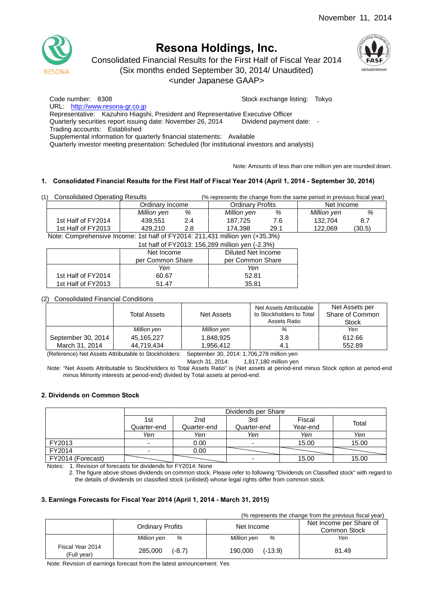

# **Resona Holdings, Inc.**

Consolidated Financial Results for the First Half of Fiscal Year 2014 (Six months ended September 30, 2014/ Unaudited)





Code number: 8308 Stock exchange listing: Tokyo URL: http://www.resona-gr.co.jp Representative: Kazuhiro Hiagshi, President and Representative Executive Officer Quarterly securities report issuing date: November 26, 2014 Dividend payment date: - Trading accounts: Established Supplemental information for quarterly financial statements: Available Quarterly investor meeting presentation: Scheduled (for institutional investors and analysts)

Note: Amounts of less than one million yen are rounded down.

## **1. Consolidated Financial Results for the First Half of Fiscal Year 2014 (April 1, 2014 - September 30, 2014)**

| (1) | <b>Consolidated Operating Results</b> |             |     | (% represents the change from the same period in previous fiscal year) |      |             |        |
|-----|---------------------------------------|-------------|-----|------------------------------------------------------------------------|------|-------------|--------|
|     | Ordinary Income                       |             |     | <b>Ordinary Profits</b>                                                |      | Net Income  |        |
|     |                                       | Million yen | %   | Million yen                                                            | %    | Million yen | %      |
|     | 1st Half of FY2014                    | 439.551     | 2.4 | 187.725                                                                | 7.6  | 132.704     | -8.7   |
|     | 1st Half of FY2013                    | 429.210     | 2.8 | 174.398                                                                | 29.1 | 122.069     | (30.5) |

Note: Comprehensive Income: 1st half of FY2014: 211,431 million yen (+35.3%)

|                                      | 1st half of FY2013: 156,289 million yen (-2.3%) |       |  |  |  |  |
|--------------------------------------|-------------------------------------------------|-------|--|--|--|--|
|                                      | Diluted Net Income                              |       |  |  |  |  |
| per Common Share<br>per Common Share |                                                 |       |  |  |  |  |
|                                      | Yen                                             | Yen   |  |  |  |  |
| 1st Half of FY2014                   | 60.67                                           | 52.81 |  |  |  |  |
| 1st Half of FY2013                   | 51.47                                           | 35.81 |  |  |  |  |

#### (2) Consolidated Financial Conditions

|                    | <b>Total Assets</b> | Net Assets  | Net Assets Attributable<br>to Stockholders to Total<br>Assets Ratio | Net Assets per<br>Share of Common<br><b>Stock</b> |
|--------------------|---------------------|-------------|---------------------------------------------------------------------|---------------------------------------------------|
|                    | Million yen         | Million yen | %                                                                   | Yen                                               |
| September 30, 2014 | 45.165.227          | 1.848.925   | 3.8                                                                 | 612.66                                            |
| March 31, 2014     | 44.719.434          | 1.956.412   | 4.1                                                                 | 552.89                                            |

(Reference) Net Assets Attributable to Stockholders: September 30, 2014: 1,706,278 million yen

March 31, 2014: 1,817,180 million yen

Note: "Net Assets Attributable to Stockholders to Total Assets Ratio" is (Net assets at period-end minus Stock option at period-end minus Minority interests at period-end) divided by Total assets at period-end.

#### **2. Dividends on Common Stock**

|                   |                          | Dividends per Share |             |          |       |  |  |  |
|-------------------|--------------------------|---------------------|-------------|----------|-------|--|--|--|
|                   | 1st                      | 2 <sub>nd</sub>     | 3rd         | Fiscal   | Total |  |  |  |
|                   | Quarter-end              | Quarter-end         | Quarter-end | Year-end |       |  |  |  |
|                   | Yen                      | Yen                 | Yen         | Yen      | Yen   |  |  |  |
| FY2013            | $\overline{\phantom{0}}$ | 0.00                | -           | 15.00    | 15.00 |  |  |  |
| FY2014            | $\overline{\phantom{a}}$ | 0.00                |             |          |       |  |  |  |
| FY2014 (Forecast) |                          |                     |             | 15.00    | 15.00 |  |  |  |

Notes: 1. Revision of forecasts for dividends for FY2014: None

2. The figure above shows dividends on common stock. Please refer to following "Dividends on Classified stock" with regard to the details of dividends on classified stock (unlisted) whose legal rights differ from common stock.

#### **3. Earnings Forecasts for Fiscal Year 2014 (April 1, 2014 - March 31, 2015)**

(% represents the change from the previous fiscal year)

|                                 | <b>Ordinary Profits</b> | Net Income           | Net Income per Share of<br>Common Stock |
|---------------------------------|-------------------------|----------------------|-----------------------------------------|
|                                 | %<br>Million yen        | Million yen<br>%     | Yen                                     |
| Fiscal Year 2014<br>(Full vear) | 285,000<br>$(-8.7)$     | $(-13.9)$<br>190.000 | 81.49                                   |

Note: Revision of earnings forecast from the latest announcement: Yes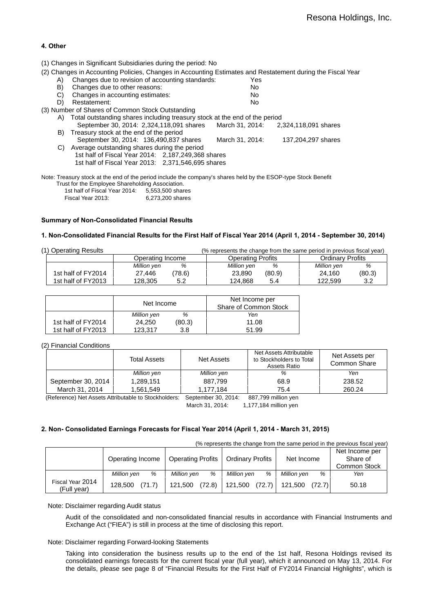## **4. Other**

(1) Changes in Significant Subsidiaries during the period: No

(2) Changes in Accounting Policies, Changes in Accounting Estimates and Restatement during the Fiscal Year

|    | $\sim$ , original dependent in the choice, original declining community and recognition definity the ritoric   |                 |                      |
|----|----------------------------------------------------------------------------------------------------------------|-----------------|----------------------|
| A) | Changes due to revision of accounting standards:                                                               | Yes             |                      |
| B) | Changes due to other reasons:                                                                                  | No.             |                      |
| C) | Changes in accounting estimates:                                                                               | No              |                      |
| D) | Restatement:                                                                                                   | No              |                      |
|    | (3) Number of Shares of Common Stock Outstanding                                                               |                 |                      |
| A) | Total outstanding shares including treasury stock at the end of the period                                     |                 |                      |
|    | September 30, 2014: 2,324, 118, 091 shares                                                                     | March 31, 2014: | 2.324.118.091 shares |
| B) | Treasury stock at the end of the period                                                                        |                 |                      |
|    | September 30, 2014: 136, 490, 837 shares                                                                       | March 31, 2014: | 137,204,297 shares   |
| C) | Average outstanding shares during the period                                                                   |                 |                      |
|    | 1st half of Fiscal Year 2014: 2,187,249,368 shares                                                             |                 |                      |
|    | 1st half of Fiscal Year 2013: 2,371,546,695 shares                                                             |                 |                      |
|    |                                                                                                                |                 |                      |
|    | Note: Treasury stock at the end of the period include the company's shares held by the ESOP-type Stock Benefit |                 |                      |
|    | Trust for the Employee Charabolding Association                                                                |                 |                      |

| Trust for the Employee Shareholding Association. |                  |
|--------------------------------------------------|------------------|
| 1st half of Fiscal Year 2014.                    | 5,553,500 shares |
| Fiscal Year 2013:                                | 6.273.200 shares |

## **Summary of Non-Consolidated Financial Results**

#### **1. Non-Consolidated Financial Results for the First Half of Fiscal Year 2014 (April 1, 2014 - September 30, 2014)**

| (1) Operating Results |                  | (% represents the change from the same period in previous fiscal year) |                         |
|-----------------------|------------------|------------------------------------------------------------------------|-------------------------|
|                       | Operating Income | <b>Operating Profits</b>                                               | <b>Ordinary Profits</b> |
|                       | %<br>Million yen | Million yen<br>%                                                       | %<br>Million yen        |
| 1st half of FY2014    | 78.6)<br>27.446  | (80.9)<br>23,890                                                       | (80.3)<br>24.160        |
| 1st half of FY2013    | 128.305<br>5.2   | 124.868<br>5.4                                                         | 122.599<br>3.2          |

|                    | Net Income  |        | Net Income per<br>Share of Common Stock |
|--------------------|-------------|--------|-----------------------------------------|
|                    | Million yen | %      | Yen                                     |
| 1st half of FY2014 | 24.250      | (80.3) | 11.08                                   |
| 1st half of FY2013 | 123.317     | 3.8    | 51.99                                   |

#### (2) Financial Conditions

|                    | <b>Total Assets</b> | Net Assets  | Net Assets Attributable<br>to Stockholders to Total<br>Assets Ratio | Net Assets per<br>Common Share |
|--------------------|---------------------|-------------|---------------------------------------------------------------------|--------------------------------|
|                    | Million yen         | Million yen | %                                                                   | Yen                            |
| September 30, 2014 | 1,289,151           | 887.799     | 68.9                                                                | 238.52                         |
| March 31, 2014     | 1.561.549           | 1.177.184   | 75.4                                                                | 260.24                         |

(Reference) Net Assets Attributable to Stockholders: September 30, 2014: 887,799 million yen

March 31, 2014: 1,177,184 million yen

#### **2. Non- Consolidated Earnings Forecasts for Fiscal Year 2014 (April 1, 2014 - March 31, 2015)**

(% represents the change from the same period in the previous fiscal year)

|                                 | Operating Income  | <b>Operating Profits</b> | <b>Ordinary Profits</b> | Net Income        | Net Income per<br>Share of<br>Common Stock |
|---------------------------------|-------------------|--------------------------|-------------------------|-------------------|--------------------------------------------|
|                                 | Million ven<br>%  | Million yen<br>%         | Million yen<br>%        | Million yen<br>%  | Yen                                        |
| Fiscal Year 2014<br>(Full year) | (71.7)<br>128.500 | (72.8)<br>121.500        | 121.500<br>(72.7)       | 121.500<br>(72.7) | 50.18                                      |

#### Note: Disclaimer regarding Audit status

Audit of the consolidated and non-consolidated financial results in accordance with Financial Instruments and Exchange Act ("FIEA") is still in process at the time of disclosing this report.

#### Note: Disclaimer regarding Forward-looking Statements

Taking into consideration the business results up to the end of the 1st half, Resona Holdings revised its consolidated earnings forecasts for the current fiscal year (full year), which it announced on May 13, 2014. For the details, please see page 8 of "Financial Results for the First Half of FY2014 Financial Highlights", which is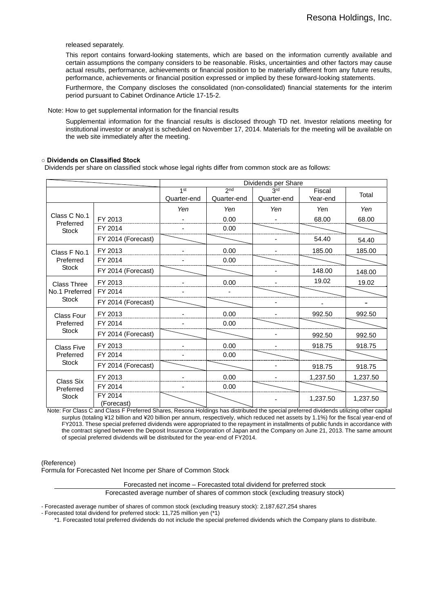released separately.

This report contains forward-looking statements, which are based on the information currently available and certain assumptions the company considers to be reasonable. Risks, uncertainties and other factors may cause actual results, performance, achievements or financial position to be materially different from any future results, performance, achievements or financial position expressed or implied by these forward-looking statements.

Furthermore, the Company discloses the consolidated (non-consolidated) financial statements for the interim period pursuant to Cabinet Ordinance Article 17-15-2.

Note: How to get supplemental information for the financial results

Supplemental information for the financial results is disclosed through TD net. Investor relations meeting for institutional investor or analyst is scheduled on November 17, 2014. Materials for the meeting will be available on the web site immediately after the meeting.

#### **○ Dividends on Classified Stock**

Dividends per share on classified stock whose legal rights differ from common stock are as follows:

|                           |                       | Dividends per Share            |                                |                    |                    |          |
|---------------------------|-----------------------|--------------------------------|--------------------------------|--------------------|--------------------|----------|
|                           |                       | 1 <sup>st</sup><br>Quarter-end | 2 <sub>nd</sub><br>Quarter-end | 3rd<br>Quarter-end | Fiscal<br>Year-end | Total    |
|                           |                       | Yen                            | Yen                            | Yen                | Yen                | Yen      |
| Class C No.1<br>Preferred | FY 2013               |                                | 0.00                           |                    | 68.00              | 68.00    |
| <b>Stock</b>              | FY 2014               |                                | 0.00                           |                    |                    |          |
|                           | FY 2014 (Forecast)    |                                |                                |                    | 54.40              | 54.40    |
| Class F No.1              | FY 2013               |                                | 0.00                           |                    | 185.00             | 185.00   |
| Preferred                 | FY 2014               |                                | 0.00                           |                    |                    |          |
| <b>Stock</b>              | FY 2014 (Forecast)    |                                |                                |                    | 148.00             | 148.00   |
| <b>Class Three</b>        | FY 2013               |                                | 0.00                           |                    | 19.02              | 19.02    |
| No.1 Preferred            | FY 2014               |                                |                                |                    |                    |          |
| <b>Stock</b>              | FY 2014 (Forecast)    |                                |                                |                    |                    |          |
| <b>Class Four</b>         | FY 2013               |                                | 0.00                           |                    | 992.50             | 992.50   |
| Preferred                 | FY 2014               |                                | 0.00                           |                    |                    |          |
| <b>Stock</b>              | FY 2014 (Forecast)    |                                |                                |                    | 992.50             | 992.50   |
| <b>Class Five</b>         | FY 2013               |                                | 0.00                           |                    | 918.75             | 918.75   |
| Preferred                 | FY 2014               |                                | 0.00                           |                    |                    |          |
| <b>Stock</b>              | FY 2014 (Forecast)    |                                |                                |                    | 918.75             | 918.75   |
| Class Six                 | FY 2013               |                                | 0.00                           |                    | 1,237.50           | 1,237.50 |
| Preferred                 | FY 2014               |                                | 0.00                           |                    |                    |          |
| <b>Stock</b>              | FY 2014<br>(Forecast) |                                |                                |                    | 1,237.50           | 1,237.50 |

Note: For Class C and Class F Preferred Shares, Resona Holdings has distributed the special preferred dividends utilizing other capital surplus (totaling ¥12 billion and ¥20 billion per annum, respectively, which reduced net assets by 1.1%) for the fiscal year-end of FY2013. These special preferred dividends were appropriated to the repayment in installments of public funds in accordance with the contract signed between the Deposit Insurance Corporation of Japan and the Company on June 21, 2013. The same amount of special preferred dividends will be distributed for the year-end of FY2014.

(Reference)

Formula for Forecasted Net Income per Share of Common Stock

Forecasted net income – Forecasted total dividend for preferred stock

Forecasted average number of shares of common stock (excluding treasury stock)

- Forecasted average number of shares of common stock (excluding treasury stock): 2,187,627,254 shares

- Forecasted total dividend for preferred stock: 11,725 million yen (\*1)

\*1. Forecasted total preferred dividends do not include the special preferred dividends which the Company plans to distribute.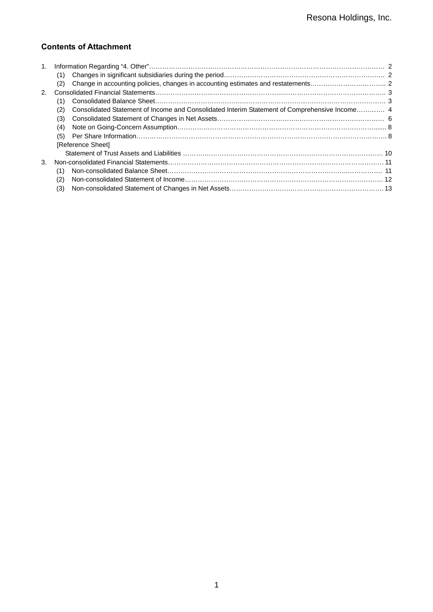## **Contents of Attachment**

| 1.          |                                                                                                      |  |
|-------------|------------------------------------------------------------------------------------------------------|--|
|             | (1)                                                                                                  |  |
|             | (2)                                                                                                  |  |
| $2^{\circ}$ |                                                                                                      |  |
|             | (1)                                                                                                  |  |
|             | Consolidated Statement of Income and Consolidated Interim Statement of Comprehensive Income 4<br>(2) |  |
|             | (3)                                                                                                  |  |
|             | (4)                                                                                                  |  |
|             | (5)                                                                                                  |  |
|             | [Reference Sheet]                                                                                    |  |
|             |                                                                                                      |  |
| 3.          |                                                                                                      |  |
|             | (1)                                                                                                  |  |
|             | (2)                                                                                                  |  |
|             | (3)                                                                                                  |  |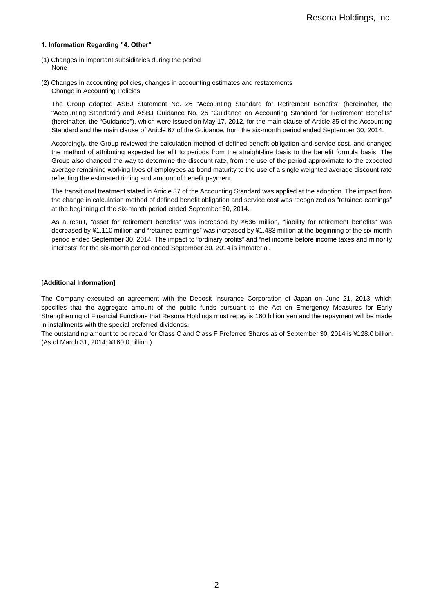### **1. Information Regarding "4. Other"**

- (1) Changes in important subsidiaries during the period None
- (2) Changes in accounting policies, changes in accounting estimates and restatements Change in Accounting Policies

The Group adopted ASBJ Statement No. 26 "Accounting Standard for Retirement Benefits" (hereinafter, the "Accounting Standard") and ASBJ Guidance No. 25 "Guidance on Accounting Standard for Retirement Benefits" (hereinafter, the "Guidance"), which were issued on May 17, 2012, for the main clause of Article 35 of the Accounting Standard and the main clause of Article 67 of the Guidance, from the six-month period ended September 30, 2014.

Accordingly, the Group reviewed the calculation method of defined benefit obligation and service cost, and changed the method of attributing expected benefit to periods from the straight-line basis to the benefit formula basis. The Group also changed the way to determine the discount rate, from the use of the period approximate to the expected average remaining working lives of employees as bond maturity to the use of a single weighted average discount rate reflecting the estimated timing and amount of benefit payment.

The transitional treatment stated in Article 37 of the Accounting Standard was applied at the adoption. The impact from the change in calculation method of defined benefit obligation and service cost was recognized as "retained earnings" at the beginning of the six-month period ended September 30, 2014.

As a result, "asset for retirement benefits" was increased by ¥636 million, "liability for retirement benefits" was decreased by ¥1,110 million and "retained earnings" was increased by ¥1,483 million at the beginning of the six-month period ended September 30, 2014. The impact to "ordinary profits" and "net income before income taxes and minority interests" for the six-month period ended September 30, 2014 is immaterial.

## **[Additional Information]**

The Company executed an agreement with the Deposit Insurance Corporation of Japan on June 21, 2013, which specifies that the aggregate amount of the public funds pursuant to the Act on Emergency Measures for Early Strengthening of Financial Functions that Resona Holdings must repay is 160 billion yen and the repayment will be made in installments with the special preferred dividends.

The outstanding amount to be repaid for Class C and Class F Preferred Shares as of September 30, 2014 is ¥128.0 billion. (As of March 31, 2014: ¥160.0 billion.)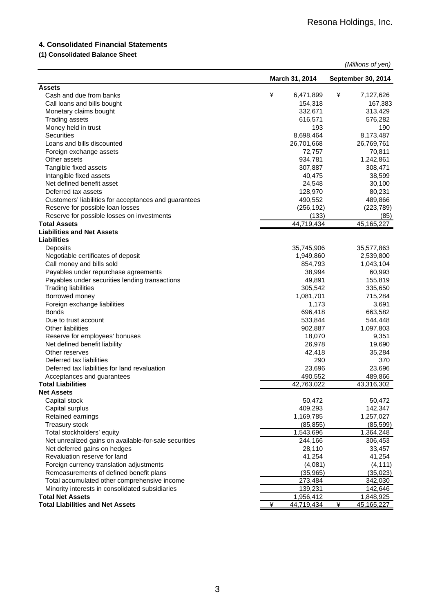## **4. Consolidated Financial Statements**

## **(1) Consolidated Balance Sheet**

| March 31, 2014<br>September 30, 2014<br><b>Assets</b><br>¥<br>6,471,899<br>7,127,626<br>Cash and due from banks<br>¥<br>Call loans and bills bought<br>154,318<br>167,383<br>Monetary claims bought<br>332,671<br>313,429<br><b>Trading assets</b><br>616,571<br>576,282<br>Money held in trust<br>193<br>190<br><b>Securities</b><br>8,698,464<br>8,173,487<br>Loans and bills discounted<br>26,701,668<br>26,769,761<br>70,811<br>Foreign exchange assets<br>72,757<br>1,242,861<br>Other assets<br>934,781<br>307,887<br>Tangible fixed assets<br>308,471<br>Intangible fixed assets<br>40,475<br>38,599<br>Net defined benefit asset<br>24,548<br>30,100<br>Deferred tax assets<br>128,970<br>80,231<br>Customers' liabilities for acceptances and guarantees<br>490,552<br>489,866<br>Reserve for possible loan losses<br>(256, 192)<br>(223, 789)<br>Reserve for possible losses on investments<br>(133)<br>(85)<br>44,719,434<br>45,165,227<br><b>Total Assets</b><br><b>Liabilities and Net Assets</b><br><b>Liabilities</b><br>35,745,906<br>Deposits<br>35,577,863<br>Negotiable certificates of deposit<br>1,949,860<br>2,539,800<br>Call money and bills sold<br>854,793<br>1,043,104<br>Payables under repurchase agreements<br>38,994<br>60,993<br>Payables under securities lending transactions<br>49,891<br>155,819<br><b>Trading liabilities</b><br>305,542<br>335,650<br>Borrowed money<br>715,284<br>1,081,701<br>Foreign exchange liabilities<br>1,173<br>3,691<br><b>Bonds</b><br>696,418<br>663,582<br>533,844<br>Due to trust account<br>544,448<br><b>Other liabilities</b><br>902,887<br>1,097,803<br>Reserve for employees' bonuses<br>18,070<br>9,351<br>Net defined benefit liability<br>26,978<br>19,690<br>Other reserves<br>42,418<br>35,284<br>290<br>Deferred tax liabilities<br>370<br>23,696<br>Deferred tax liabilities for land revaluation<br>23,696<br>490,552<br>489,866<br>Acceptances and guarantees<br>42.763.022<br>43.316.302<br><b>Total Liabilities</b><br><b>Net Assets</b><br>Capital stock<br>50,472<br>50,472<br>Capital surplus<br>409,293<br>142,347<br>Retained earnings<br>1,169,785<br>1,257,027<br>Treasury stock<br>(85, 599)<br>(85, 855)<br>Total stockholders' equity<br>1,543,696<br>1,364,248<br>Net unrealized gains on available-for-sale securities<br>306,453<br>244,166<br>Net deferred gains on hedges<br>28,110<br>33,457<br>Revaluation reserve for land<br>41,254<br>41,254<br>Foreign currency translation adjustments<br>(4,081)<br>(4, 111)<br>(35, 965)<br>Remeasurements of defined benefit plans<br>(35,023)<br>Total accumulated other comprehensive income<br>273,484<br>342,030<br>Minority interests in consolidated subsidiaries<br>142,646<br>139,231<br><b>Total Net Assets</b><br>1,956,412<br>1,848,925 |                                         |   |            |   | (Millions of yen) |
|-------------------------------------------------------------------------------------------------------------------------------------------------------------------------------------------------------------------------------------------------------------------------------------------------------------------------------------------------------------------------------------------------------------------------------------------------------------------------------------------------------------------------------------------------------------------------------------------------------------------------------------------------------------------------------------------------------------------------------------------------------------------------------------------------------------------------------------------------------------------------------------------------------------------------------------------------------------------------------------------------------------------------------------------------------------------------------------------------------------------------------------------------------------------------------------------------------------------------------------------------------------------------------------------------------------------------------------------------------------------------------------------------------------------------------------------------------------------------------------------------------------------------------------------------------------------------------------------------------------------------------------------------------------------------------------------------------------------------------------------------------------------------------------------------------------------------------------------------------------------------------------------------------------------------------------------------------------------------------------------------------------------------------------------------------------------------------------------------------------------------------------------------------------------------------------------------------------------------------------------------------------------------------------------------------------------------------------------------------------------------------------------------------------------------------------------------------------------------------------------------------------------------------------------------------------------------------------------------------------------------------------------------------------------------------------------------------------------------------------------------------------------------------------------------|-----------------------------------------|---|------------|---|-------------------|
|                                                                                                                                                                                                                                                                                                                                                                                                                                                                                                                                                                                                                                                                                                                                                                                                                                                                                                                                                                                                                                                                                                                                                                                                                                                                                                                                                                                                                                                                                                                                                                                                                                                                                                                                                                                                                                                                                                                                                                                                                                                                                                                                                                                                                                                                                                                                                                                                                                                                                                                                                                                                                                                                                                                                                                                                 |                                         |   |            |   |                   |
|                                                                                                                                                                                                                                                                                                                                                                                                                                                                                                                                                                                                                                                                                                                                                                                                                                                                                                                                                                                                                                                                                                                                                                                                                                                                                                                                                                                                                                                                                                                                                                                                                                                                                                                                                                                                                                                                                                                                                                                                                                                                                                                                                                                                                                                                                                                                                                                                                                                                                                                                                                                                                                                                                                                                                                                                 |                                         |   |            |   |                   |
|                                                                                                                                                                                                                                                                                                                                                                                                                                                                                                                                                                                                                                                                                                                                                                                                                                                                                                                                                                                                                                                                                                                                                                                                                                                                                                                                                                                                                                                                                                                                                                                                                                                                                                                                                                                                                                                                                                                                                                                                                                                                                                                                                                                                                                                                                                                                                                                                                                                                                                                                                                                                                                                                                                                                                                                                 |                                         |   |            |   |                   |
|                                                                                                                                                                                                                                                                                                                                                                                                                                                                                                                                                                                                                                                                                                                                                                                                                                                                                                                                                                                                                                                                                                                                                                                                                                                                                                                                                                                                                                                                                                                                                                                                                                                                                                                                                                                                                                                                                                                                                                                                                                                                                                                                                                                                                                                                                                                                                                                                                                                                                                                                                                                                                                                                                                                                                                                                 |                                         |   |            |   |                   |
|                                                                                                                                                                                                                                                                                                                                                                                                                                                                                                                                                                                                                                                                                                                                                                                                                                                                                                                                                                                                                                                                                                                                                                                                                                                                                                                                                                                                                                                                                                                                                                                                                                                                                                                                                                                                                                                                                                                                                                                                                                                                                                                                                                                                                                                                                                                                                                                                                                                                                                                                                                                                                                                                                                                                                                                                 |                                         |   |            |   |                   |
|                                                                                                                                                                                                                                                                                                                                                                                                                                                                                                                                                                                                                                                                                                                                                                                                                                                                                                                                                                                                                                                                                                                                                                                                                                                                                                                                                                                                                                                                                                                                                                                                                                                                                                                                                                                                                                                                                                                                                                                                                                                                                                                                                                                                                                                                                                                                                                                                                                                                                                                                                                                                                                                                                                                                                                                                 |                                         |   |            |   |                   |
|                                                                                                                                                                                                                                                                                                                                                                                                                                                                                                                                                                                                                                                                                                                                                                                                                                                                                                                                                                                                                                                                                                                                                                                                                                                                                                                                                                                                                                                                                                                                                                                                                                                                                                                                                                                                                                                                                                                                                                                                                                                                                                                                                                                                                                                                                                                                                                                                                                                                                                                                                                                                                                                                                                                                                                                                 |                                         |   |            |   |                   |
|                                                                                                                                                                                                                                                                                                                                                                                                                                                                                                                                                                                                                                                                                                                                                                                                                                                                                                                                                                                                                                                                                                                                                                                                                                                                                                                                                                                                                                                                                                                                                                                                                                                                                                                                                                                                                                                                                                                                                                                                                                                                                                                                                                                                                                                                                                                                                                                                                                                                                                                                                                                                                                                                                                                                                                                                 |                                         |   |            |   |                   |
|                                                                                                                                                                                                                                                                                                                                                                                                                                                                                                                                                                                                                                                                                                                                                                                                                                                                                                                                                                                                                                                                                                                                                                                                                                                                                                                                                                                                                                                                                                                                                                                                                                                                                                                                                                                                                                                                                                                                                                                                                                                                                                                                                                                                                                                                                                                                                                                                                                                                                                                                                                                                                                                                                                                                                                                                 |                                         |   |            |   |                   |
|                                                                                                                                                                                                                                                                                                                                                                                                                                                                                                                                                                                                                                                                                                                                                                                                                                                                                                                                                                                                                                                                                                                                                                                                                                                                                                                                                                                                                                                                                                                                                                                                                                                                                                                                                                                                                                                                                                                                                                                                                                                                                                                                                                                                                                                                                                                                                                                                                                                                                                                                                                                                                                                                                                                                                                                                 |                                         |   |            |   |                   |
|                                                                                                                                                                                                                                                                                                                                                                                                                                                                                                                                                                                                                                                                                                                                                                                                                                                                                                                                                                                                                                                                                                                                                                                                                                                                                                                                                                                                                                                                                                                                                                                                                                                                                                                                                                                                                                                                                                                                                                                                                                                                                                                                                                                                                                                                                                                                                                                                                                                                                                                                                                                                                                                                                                                                                                                                 |                                         |   |            |   |                   |
|                                                                                                                                                                                                                                                                                                                                                                                                                                                                                                                                                                                                                                                                                                                                                                                                                                                                                                                                                                                                                                                                                                                                                                                                                                                                                                                                                                                                                                                                                                                                                                                                                                                                                                                                                                                                                                                                                                                                                                                                                                                                                                                                                                                                                                                                                                                                                                                                                                                                                                                                                                                                                                                                                                                                                                                                 |                                         |   |            |   |                   |
|                                                                                                                                                                                                                                                                                                                                                                                                                                                                                                                                                                                                                                                                                                                                                                                                                                                                                                                                                                                                                                                                                                                                                                                                                                                                                                                                                                                                                                                                                                                                                                                                                                                                                                                                                                                                                                                                                                                                                                                                                                                                                                                                                                                                                                                                                                                                                                                                                                                                                                                                                                                                                                                                                                                                                                                                 |                                         |   |            |   |                   |
|                                                                                                                                                                                                                                                                                                                                                                                                                                                                                                                                                                                                                                                                                                                                                                                                                                                                                                                                                                                                                                                                                                                                                                                                                                                                                                                                                                                                                                                                                                                                                                                                                                                                                                                                                                                                                                                                                                                                                                                                                                                                                                                                                                                                                                                                                                                                                                                                                                                                                                                                                                                                                                                                                                                                                                                                 |                                         |   |            |   |                   |
|                                                                                                                                                                                                                                                                                                                                                                                                                                                                                                                                                                                                                                                                                                                                                                                                                                                                                                                                                                                                                                                                                                                                                                                                                                                                                                                                                                                                                                                                                                                                                                                                                                                                                                                                                                                                                                                                                                                                                                                                                                                                                                                                                                                                                                                                                                                                                                                                                                                                                                                                                                                                                                                                                                                                                                                                 |                                         |   |            |   |                   |
|                                                                                                                                                                                                                                                                                                                                                                                                                                                                                                                                                                                                                                                                                                                                                                                                                                                                                                                                                                                                                                                                                                                                                                                                                                                                                                                                                                                                                                                                                                                                                                                                                                                                                                                                                                                                                                                                                                                                                                                                                                                                                                                                                                                                                                                                                                                                                                                                                                                                                                                                                                                                                                                                                                                                                                                                 |                                         |   |            |   |                   |
|                                                                                                                                                                                                                                                                                                                                                                                                                                                                                                                                                                                                                                                                                                                                                                                                                                                                                                                                                                                                                                                                                                                                                                                                                                                                                                                                                                                                                                                                                                                                                                                                                                                                                                                                                                                                                                                                                                                                                                                                                                                                                                                                                                                                                                                                                                                                                                                                                                                                                                                                                                                                                                                                                                                                                                                                 |                                         |   |            |   |                   |
|                                                                                                                                                                                                                                                                                                                                                                                                                                                                                                                                                                                                                                                                                                                                                                                                                                                                                                                                                                                                                                                                                                                                                                                                                                                                                                                                                                                                                                                                                                                                                                                                                                                                                                                                                                                                                                                                                                                                                                                                                                                                                                                                                                                                                                                                                                                                                                                                                                                                                                                                                                                                                                                                                                                                                                                                 |                                         |   |            |   |                   |
|                                                                                                                                                                                                                                                                                                                                                                                                                                                                                                                                                                                                                                                                                                                                                                                                                                                                                                                                                                                                                                                                                                                                                                                                                                                                                                                                                                                                                                                                                                                                                                                                                                                                                                                                                                                                                                                                                                                                                                                                                                                                                                                                                                                                                                                                                                                                                                                                                                                                                                                                                                                                                                                                                                                                                                                                 |                                         |   |            |   |                   |
|                                                                                                                                                                                                                                                                                                                                                                                                                                                                                                                                                                                                                                                                                                                                                                                                                                                                                                                                                                                                                                                                                                                                                                                                                                                                                                                                                                                                                                                                                                                                                                                                                                                                                                                                                                                                                                                                                                                                                                                                                                                                                                                                                                                                                                                                                                                                                                                                                                                                                                                                                                                                                                                                                                                                                                                                 |                                         |   |            |   |                   |
|                                                                                                                                                                                                                                                                                                                                                                                                                                                                                                                                                                                                                                                                                                                                                                                                                                                                                                                                                                                                                                                                                                                                                                                                                                                                                                                                                                                                                                                                                                                                                                                                                                                                                                                                                                                                                                                                                                                                                                                                                                                                                                                                                                                                                                                                                                                                                                                                                                                                                                                                                                                                                                                                                                                                                                                                 |                                         |   |            |   |                   |
|                                                                                                                                                                                                                                                                                                                                                                                                                                                                                                                                                                                                                                                                                                                                                                                                                                                                                                                                                                                                                                                                                                                                                                                                                                                                                                                                                                                                                                                                                                                                                                                                                                                                                                                                                                                                                                                                                                                                                                                                                                                                                                                                                                                                                                                                                                                                                                                                                                                                                                                                                                                                                                                                                                                                                                                                 |                                         |   |            |   |                   |
|                                                                                                                                                                                                                                                                                                                                                                                                                                                                                                                                                                                                                                                                                                                                                                                                                                                                                                                                                                                                                                                                                                                                                                                                                                                                                                                                                                                                                                                                                                                                                                                                                                                                                                                                                                                                                                                                                                                                                                                                                                                                                                                                                                                                                                                                                                                                                                                                                                                                                                                                                                                                                                                                                                                                                                                                 |                                         |   |            |   |                   |
|                                                                                                                                                                                                                                                                                                                                                                                                                                                                                                                                                                                                                                                                                                                                                                                                                                                                                                                                                                                                                                                                                                                                                                                                                                                                                                                                                                                                                                                                                                                                                                                                                                                                                                                                                                                                                                                                                                                                                                                                                                                                                                                                                                                                                                                                                                                                                                                                                                                                                                                                                                                                                                                                                                                                                                                                 |                                         |   |            |   |                   |
|                                                                                                                                                                                                                                                                                                                                                                                                                                                                                                                                                                                                                                                                                                                                                                                                                                                                                                                                                                                                                                                                                                                                                                                                                                                                                                                                                                                                                                                                                                                                                                                                                                                                                                                                                                                                                                                                                                                                                                                                                                                                                                                                                                                                                                                                                                                                                                                                                                                                                                                                                                                                                                                                                                                                                                                                 |                                         |   |            |   |                   |
|                                                                                                                                                                                                                                                                                                                                                                                                                                                                                                                                                                                                                                                                                                                                                                                                                                                                                                                                                                                                                                                                                                                                                                                                                                                                                                                                                                                                                                                                                                                                                                                                                                                                                                                                                                                                                                                                                                                                                                                                                                                                                                                                                                                                                                                                                                                                                                                                                                                                                                                                                                                                                                                                                                                                                                                                 |                                         |   |            |   |                   |
|                                                                                                                                                                                                                                                                                                                                                                                                                                                                                                                                                                                                                                                                                                                                                                                                                                                                                                                                                                                                                                                                                                                                                                                                                                                                                                                                                                                                                                                                                                                                                                                                                                                                                                                                                                                                                                                                                                                                                                                                                                                                                                                                                                                                                                                                                                                                                                                                                                                                                                                                                                                                                                                                                                                                                                                                 |                                         |   |            |   |                   |
|                                                                                                                                                                                                                                                                                                                                                                                                                                                                                                                                                                                                                                                                                                                                                                                                                                                                                                                                                                                                                                                                                                                                                                                                                                                                                                                                                                                                                                                                                                                                                                                                                                                                                                                                                                                                                                                                                                                                                                                                                                                                                                                                                                                                                                                                                                                                                                                                                                                                                                                                                                                                                                                                                                                                                                                                 |                                         |   |            |   |                   |
|                                                                                                                                                                                                                                                                                                                                                                                                                                                                                                                                                                                                                                                                                                                                                                                                                                                                                                                                                                                                                                                                                                                                                                                                                                                                                                                                                                                                                                                                                                                                                                                                                                                                                                                                                                                                                                                                                                                                                                                                                                                                                                                                                                                                                                                                                                                                                                                                                                                                                                                                                                                                                                                                                                                                                                                                 |                                         |   |            |   |                   |
|                                                                                                                                                                                                                                                                                                                                                                                                                                                                                                                                                                                                                                                                                                                                                                                                                                                                                                                                                                                                                                                                                                                                                                                                                                                                                                                                                                                                                                                                                                                                                                                                                                                                                                                                                                                                                                                                                                                                                                                                                                                                                                                                                                                                                                                                                                                                                                                                                                                                                                                                                                                                                                                                                                                                                                                                 |                                         |   |            |   |                   |
|                                                                                                                                                                                                                                                                                                                                                                                                                                                                                                                                                                                                                                                                                                                                                                                                                                                                                                                                                                                                                                                                                                                                                                                                                                                                                                                                                                                                                                                                                                                                                                                                                                                                                                                                                                                                                                                                                                                                                                                                                                                                                                                                                                                                                                                                                                                                                                                                                                                                                                                                                                                                                                                                                                                                                                                                 |                                         |   |            |   |                   |
|                                                                                                                                                                                                                                                                                                                                                                                                                                                                                                                                                                                                                                                                                                                                                                                                                                                                                                                                                                                                                                                                                                                                                                                                                                                                                                                                                                                                                                                                                                                                                                                                                                                                                                                                                                                                                                                                                                                                                                                                                                                                                                                                                                                                                                                                                                                                                                                                                                                                                                                                                                                                                                                                                                                                                                                                 |                                         |   |            |   |                   |
|                                                                                                                                                                                                                                                                                                                                                                                                                                                                                                                                                                                                                                                                                                                                                                                                                                                                                                                                                                                                                                                                                                                                                                                                                                                                                                                                                                                                                                                                                                                                                                                                                                                                                                                                                                                                                                                                                                                                                                                                                                                                                                                                                                                                                                                                                                                                                                                                                                                                                                                                                                                                                                                                                                                                                                                                 |                                         |   |            |   |                   |
|                                                                                                                                                                                                                                                                                                                                                                                                                                                                                                                                                                                                                                                                                                                                                                                                                                                                                                                                                                                                                                                                                                                                                                                                                                                                                                                                                                                                                                                                                                                                                                                                                                                                                                                                                                                                                                                                                                                                                                                                                                                                                                                                                                                                                                                                                                                                                                                                                                                                                                                                                                                                                                                                                                                                                                                                 |                                         |   |            |   |                   |
|                                                                                                                                                                                                                                                                                                                                                                                                                                                                                                                                                                                                                                                                                                                                                                                                                                                                                                                                                                                                                                                                                                                                                                                                                                                                                                                                                                                                                                                                                                                                                                                                                                                                                                                                                                                                                                                                                                                                                                                                                                                                                                                                                                                                                                                                                                                                                                                                                                                                                                                                                                                                                                                                                                                                                                                                 |                                         |   |            |   |                   |
|                                                                                                                                                                                                                                                                                                                                                                                                                                                                                                                                                                                                                                                                                                                                                                                                                                                                                                                                                                                                                                                                                                                                                                                                                                                                                                                                                                                                                                                                                                                                                                                                                                                                                                                                                                                                                                                                                                                                                                                                                                                                                                                                                                                                                                                                                                                                                                                                                                                                                                                                                                                                                                                                                                                                                                                                 |                                         |   |            |   |                   |
|                                                                                                                                                                                                                                                                                                                                                                                                                                                                                                                                                                                                                                                                                                                                                                                                                                                                                                                                                                                                                                                                                                                                                                                                                                                                                                                                                                                                                                                                                                                                                                                                                                                                                                                                                                                                                                                                                                                                                                                                                                                                                                                                                                                                                                                                                                                                                                                                                                                                                                                                                                                                                                                                                                                                                                                                 |                                         |   |            |   |                   |
|                                                                                                                                                                                                                                                                                                                                                                                                                                                                                                                                                                                                                                                                                                                                                                                                                                                                                                                                                                                                                                                                                                                                                                                                                                                                                                                                                                                                                                                                                                                                                                                                                                                                                                                                                                                                                                                                                                                                                                                                                                                                                                                                                                                                                                                                                                                                                                                                                                                                                                                                                                                                                                                                                                                                                                                                 |                                         |   |            |   |                   |
|                                                                                                                                                                                                                                                                                                                                                                                                                                                                                                                                                                                                                                                                                                                                                                                                                                                                                                                                                                                                                                                                                                                                                                                                                                                                                                                                                                                                                                                                                                                                                                                                                                                                                                                                                                                                                                                                                                                                                                                                                                                                                                                                                                                                                                                                                                                                                                                                                                                                                                                                                                                                                                                                                                                                                                                                 |                                         |   |            |   |                   |
|                                                                                                                                                                                                                                                                                                                                                                                                                                                                                                                                                                                                                                                                                                                                                                                                                                                                                                                                                                                                                                                                                                                                                                                                                                                                                                                                                                                                                                                                                                                                                                                                                                                                                                                                                                                                                                                                                                                                                                                                                                                                                                                                                                                                                                                                                                                                                                                                                                                                                                                                                                                                                                                                                                                                                                                                 |                                         |   |            |   |                   |
|                                                                                                                                                                                                                                                                                                                                                                                                                                                                                                                                                                                                                                                                                                                                                                                                                                                                                                                                                                                                                                                                                                                                                                                                                                                                                                                                                                                                                                                                                                                                                                                                                                                                                                                                                                                                                                                                                                                                                                                                                                                                                                                                                                                                                                                                                                                                                                                                                                                                                                                                                                                                                                                                                                                                                                                                 |                                         |   |            |   |                   |
|                                                                                                                                                                                                                                                                                                                                                                                                                                                                                                                                                                                                                                                                                                                                                                                                                                                                                                                                                                                                                                                                                                                                                                                                                                                                                                                                                                                                                                                                                                                                                                                                                                                                                                                                                                                                                                                                                                                                                                                                                                                                                                                                                                                                                                                                                                                                                                                                                                                                                                                                                                                                                                                                                                                                                                                                 |                                         |   |            |   |                   |
|                                                                                                                                                                                                                                                                                                                                                                                                                                                                                                                                                                                                                                                                                                                                                                                                                                                                                                                                                                                                                                                                                                                                                                                                                                                                                                                                                                                                                                                                                                                                                                                                                                                                                                                                                                                                                                                                                                                                                                                                                                                                                                                                                                                                                                                                                                                                                                                                                                                                                                                                                                                                                                                                                                                                                                                                 |                                         |   |            |   |                   |
|                                                                                                                                                                                                                                                                                                                                                                                                                                                                                                                                                                                                                                                                                                                                                                                                                                                                                                                                                                                                                                                                                                                                                                                                                                                                                                                                                                                                                                                                                                                                                                                                                                                                                                                                                                                                                                                                                                                                                                                                                                                                                                                                                                                                                                                                                                                                                                                                                                                                                                                                                                                                                                                                                                                                                                                                 |                                         |   |            |   |                   |
|                                                                                                                                                                                                                                                                                                                                                                                                                                                                                                                                                                                                                                                                                                                                                                                                                                                                                                                                                                                                                                                                                                                                                                                                                                                                                                                                                                                                                                                                                                                                                                                                                                                                                                                                                                                                                                                                                                                                                                                                                                                                                                                                                                                                                                                                                                                                                                                                                                                                                                                                                                                                                                                                                                                                                                                                 |                                         |   |            |   |                   |
|                                                                                                                                                                                                                                                                                                                                                                                                                                                                                                                                                                                                                                                                                                                                                                                                                                                                                                                                                                                                                                                                                                                                                                                                                                                                                                                                                                                                                                                                                                                                                                                                                                                                                                                                                                                                                                                                                                                                                                                                                                                                                                                                                                                                                                                                                                                                                                                                                                                                                                                                                                                                                                                                                                                                                                                                 |                                         |   |            |   |                   |
|                                                                                                                                                                                                                                                                                                                                                                                                                                                                                                                                                                                                                                                                                                                                                                                                                                                                                                                                                                                                                                                                                                                                                                                                                                                                                                                                                                                                                                                                                                                                                                                                                                                                                                                                                                                                                                                                                                                                                                                                                                                                                                                                                                                                                                                                                                                                                                                                                                                                                                                                                                                                                                                                                                                                                                                                 |                                         |   |            |   |                   |
|                                                                                                                                                                                                                                                                                                                                                                                                                                                                                                                                                                                                                                                                                                                                                                                                                                                                                                                                                                                                                                                                                                                                                                                                                                                                                                                                                                                                                                                                                                                                                                                                                                                                                                                                                                                                                                                                                                                                                                                                                                                                                                                                                                                                                                                                                                                                                                                                                                                                                                                                                                                                                                                                                                                                                                                                 |                                         |   |            |   |                   |
|                                                                                                                                                                                                                                                                                                                                                                                                                                                                                                                                                                                                                                                                                                                                                                                                                                                                                                                                                                                                                                                                                                                                                                                                                                                                                                                                                                                                                                                                                                                                                                                                                                                                                                                                                                                                                                                                                                                                                                                                                                                                                                                                                                                                                                                                                                                                                                                                                                                                                                                                                                                                                                                                                                                                                                                                 |                                         |   |            |   |                   |
|                                                                                                                                                                                                                                                                                                                                                                                                                                                                                                                                                                                                                                                                                                                                                                                                                                                                                                                                                                                                                                                                                                                                                                                                                                                                                                                                                                                                                                                                                                                                                                                                                                                                                                                                                                                                                                                                                                                                                                                                                                                                                                                                                                                                                                                                                                                                                                                                                                                                                                                                                                                                                                                                                                                                                                                                 |                                         |   |            |   |                   |
|                                                                                                                                                                                                                                                                                                                                                                                                                                                                                                                                                                                                                                                                                                                                                                                                                                                                                                                                                                                                                                                                                                                                                                                                                                                                                                                                                                                                                                                                                                                                                                                                                                                                                                                                                                                                                                                                                                                                                                                                                                                                                                                                                                                                                                                                                                                                                                                                                                                                                                                                                                                                                                                                                                                                                                                                 |                                         |   |            |   |                   |
|                                                                                                                                                                                                                                                                                                                                                                                                                                                                                                                                                                                                                                                                                                                                                                                                                                                                                                                                                                                                                                                                                                                                                                                                                                                                                                                                                                                                                                                                                                                                                                                                                                                                                                                                                                                                                                                                                                                                                                                                                                                                                                                                                                                                                                                                                                                                                                                                                                                                                                                                                                                                                                                                                                                                                                                                 |                                         |   |            |   |                   |
|                                                                                                                                                                                                                                                                                                                                                                                                                                                                                                                                                                                                                                                                                                                                                                                                                                                                                                                                                                                                                                                                                                                                                                                                                                                                                                                                                                                                                                                                                                                                                                                                                                                                                                                                                                                                                                                                                                                                                                                                                                                                                                                                                                                                                                                                                                                                                                                                                                                                                                                                                                                                                                                                                                                                                                                                 | <b>Total Liabilities and Net Assets</b> | ¥ | 44,719,434 | ¥ | 45,165,227        |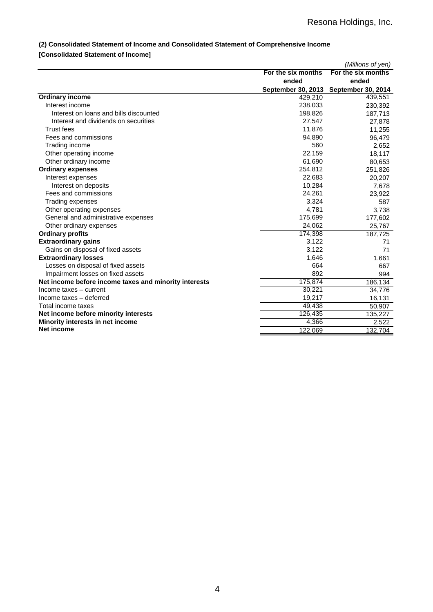## **(2) Consolidated Statement of Income and Consolidated Statement of Comprehensive Income**

## **[Consolidated Statement of Income]**

|                                                       |                    | (Millions of yen)                     |
|-------------------------------------------------------|--------------------|---------------------------------------|
|                                                       | For the six months | For the six months                    |
|                                                       | ended              | ended                                 |
|                                                       |                    | September 30, 2013 September 30, 2014 |
| <b>Ordinary income</b>                                | 429,210            | 439,551                               |
| Interest income                                       | 238,033            | 230,392                               |
| Interest on loans and bills discounted                | 198,826            | 187,713                               |
| Interest and dividends on securities                  | 27,547             | 27,878                                |
| <b>Trust fees</b>                                     | 11,876             | 11,255                                |
| Fees and commissions                                  | 94,890             | 96,479                                |
| Trading income                                        | 560                | 2,652                                 |
| Other operating income                                | 22,159             | 18,117                                |
| Other ordinary income                                 | 61,690             | 80,653                                |
| <b>Ordinary expenses</b>                              | 254,812            | 251,826                               |
| Interest expenses                                     | 22,683             | 20,207                                |
| Interest on deposits                                  | 10,284             | 7,678                                 |
| Fees and commissions                                  | 24,261             | 23,922                                |
| Trading expenses                                      | 3,324              | 587                                   |
| Other operating expenses                              | 4,781              | 3,738                                 |
| General and administrative expenses                   | 175,699            | 177,602                               |
| Other ordinary expenses                               | 24,062             | 25,767                                |
| <b>Ordinary profits</b>                               | 174,398            | 187,725                               |
| <b>Extraordinary gains</b>                            | 3,122              | 71                                    |
| Gains on disposal of fixed assets                     | 3,122              | 71                                    |
| <b>Extraordinary losses</b>                           | 1,646              | 1,661                                 |
| Losses on disposal of fixed assets                    | 664                | 667                                   |
| Impairment losses on fixed assets                     | 892                | 994                                   |
| Net income before income taxes and minority interests | 175,874            | 186,134                               |
| Income taxes - current                                | 30,221             | 34,776                                |
| Income taxes - deferred                               | 19,217             | 16,131                                |
| Total income taxes                                    | 49,438             | 50,907                                |
| Net income before minority interests                  | 126,435            | 135,227                               |
| Minority interests in net income                      | 4,366              | 2,522                                 |
| Net income                                            | 122,069            | 132,704                               |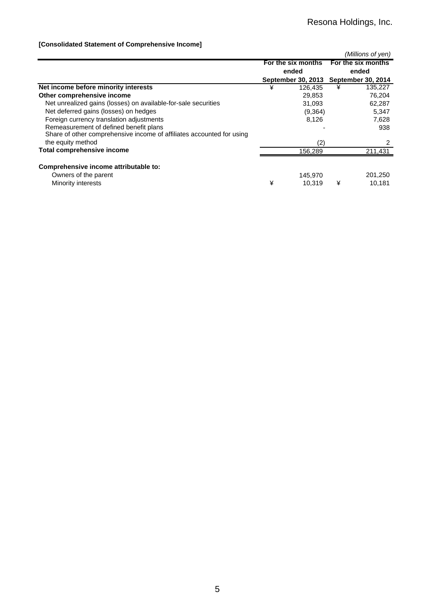## **[Consolidated Statement of Comprehensive Income]**

|                                                                       |                    |                           |   | (Millions of yen)  |
|-----------------------------------------------------------------------|--------------------|---------------------------|---|--------------------|
|                                                                       | For the six months |                           |   | For the six months |
|                                                                       |                    | ended                     |   | ended              |
|                                                                       |                    | <b>September 30, 2013</b> |   | September 30, 2014 |
| Net income before minority interests                                  | ¥                  | 126.435                   | ¥ | 135,227            |
| Other comprehensive income                                            |                    | 29,853                    |   | 76,204             |
| Net unrealized gains (losses) on available-for-sale securities        |                    | 31,093                    |   | 62,287             |
| Net deferred gains (losses) on hedges                                 |                    | (9,364)                   |   | 5,347              |
| Foreign currency translation adjustments                              |                    | 8,126                     |   | 7,628              |
| Remeasurement of defined benefit plans                                |                    |                           |   | 938                |
| Share of other comprehensive income of affiliates accounted for using |                    |                           |   |                    |
| the equity method                                                     |                    | (2)                       |   |                    |
| <b>Total comprehensive income</b>                                     |                    | 156.289                   |   | 211,431            |
| Comprehensive income attributable to:                                 |                    |                           |   |                    |
| Owners of the parent                                                  |                    | 145,970                   |   | 201,250            |
| Minority interests                                                    | ¥                  | 10.319                    | ¥ | 10,181             |
|                                                                       |                    |                           |   |                    |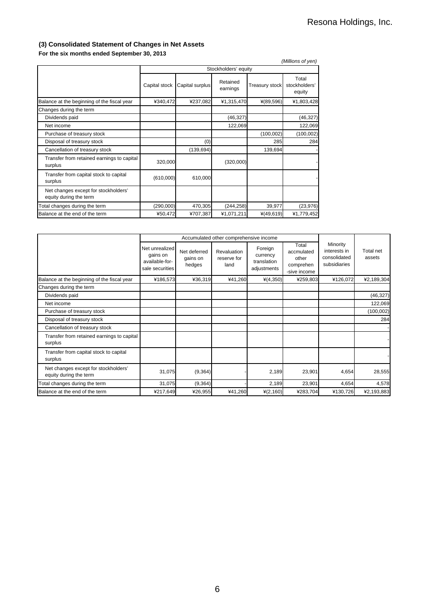## **(3) Consolidated Statement of Changes in Net Assets**

## **For the six months ended September 30, 2013**

|               |                 |                      |                       | (Millions of yen)                                                        |
|---------------|-----------------|----------------------|-----------------------|--------------------------------------------------------------------------|
|               |                 |                      |                       |                                                                          |
| Capital stock | Capital surplus | Retained<br>earnings | <b>Treasury stock</b> | Total<br>stockholders'<br>equity                                         |
|               | ¥237,082        |                      | $*(89,596)$           | ¥1,803,428                                                               |
|               |                 |                      |                       |                                                                          |
|               |                 | (46, 327)            |                       | (46, 327)                                                                |
|               |                 |                      |                       | 122,069                                                                  |
|               |                 |                      | (100, 002)            | (100, 002)                                                               |
|               | (0)             |                      | 285                   | 284                                                                      |
|               | (139, 694)      |                      | 139,694               |                                                                          |
|               |                 |                      |                       |                                                                          |
| (610,000)     | 610,000         |                      |                       |                                                                          |
|               |                 |                      |                       |                                                                          |
| (290,000)     | 470,305         |                      | 39,977                | (23, 976)                                                                |
| ¥50,472       | ¥707,387        | ¥1,071,211           | $*(49,619)$           | ¥1,779,452                                                               |
|               |                 | ¥340,472<br>320,000  |                       | Stockholders' equity<br>¥1,315,470<br>122,069<br>(320,000)<br>(244, 258) |

|                                                                |                                                                 | Accumulated other comprehensive income |                                    |                                                   |                                                           |                                                          |                     |
|----------------------------------------------------------------|-----------------------------------------------------------------|----------------------------------------|------------------------------------|---------------------------------------------------|-----------------------------------------------------------|----------------------------------------------------------|---------------------|
|                                                                | Net unrealized<br>gains on<br>available-for-<br>sale securities | Net deferred<br>gains on<br>hedges     | Revaluation<br>reserve for<br>land | Foreign<br>currency<br>translation<br>adjustments | Total<br>accmulated<br>other<br>comprehen<br>-sive income | Minority<br>interests in<br>consolidated<br>subsidiaries | Total net<br>assets |
| Balance at the beginning of the fiscal year                    | ¥186,573                                                        | ¥36,319                                | ¥41,260                            | $*(4,350)$                                        | ¥259,803                                                  | ¥126,072                                                 | ¥2,189,304          |
| Changes during the term                                        |                                                                 |                                        |                                    |                                                   |                                                           |                                                          |                     |
| Dividends paid                                                 |                                                                 |                                        |                                    |                                                   |                                                           |                                                          | (46, 327)           |
| Net income                                                     |                                                                 |                                        |                                    |                                                   |                                                           |                                                          | 122,069             |
| Purchase of treasury stock                                     |                                                                 |                                        |                                    |                                                   |                                                           |                                                          | (100, 002)          |
| Disposal of treasury stock                                     |                                                                 |                                        |                                    |                                                   |                                                           |                                                          | 284                 |
| Cancellation of treasury stock                                 |                                                                 |                                        |                                    |                                                   |                                                           |                                                          |                     |
| Transfer from retained earnings to capital<br>surplus          |                                                                 |                                        |                                    |                                                   |                                                           |                                                          |                     |
| Transfer from capital stock to capital<br>surplus              |                                                                 |                                        |                                    |                                                   |                                                           |                                                          |                     |
| Net changes except for stockholders'<br>equity during the term | 31,075                                                          | (9, 364)                               |                                    | 2,189                                             | 23,901                                                    | 4,654                                                    | 28,555              |
| Total changes during the term                                  | 31,075                                                          | (9, 364)                               |                                    | 2,189                                             | 23,901                                                    | 4,654                                                    | 4,578               |
| Balance at the end of the term                                 | ¥217,649                                                        | ¥26,955                                | ¥41,260                            | $*(2,160)$                                        | ¥283,704                                                  | ¥130,726                                                 | ¥2,193,883          |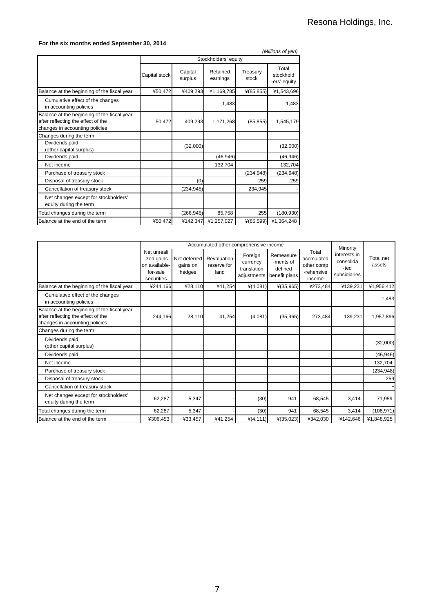## **For the six months ended September 30, 2014**

| (Millions of yen)                                                                                                   |               |                    |                      |                   |                                    |  |
|---------------------------------------------------------------------------------------------------------------------|---------------|--------------------|----------------------|-------------------|------------------------------------|--|
|                                                                                                                     |               |                    | Stockholders' equity |                   |                                    |  |
|                                                                                                                     | Capital stock | Capital<br>surplus | Retained<br>earnings | Treasury<br>stock | Total<br>stockhold<br>-ers' equity |  |
| Balance at the beginning of the fiscal year                                                                         | ¥50,472       | ¥409,293           | ¥1,169,785           | $*(85, 855)$      | ¥1,543,696                         |  |
| Cumulative effect of the changes<br>in accounting policies                                                          |               |                    | 1,483                |                   | 1,483                              |  |
| Balance at the beginning of the fiscal year<br>after reflecting the effect of the<br>changes in accounting policies | 50,472        | 409,293            | 1,171,268            | (85, 855)         | 1,545,179                          |  |
| Changes during the term                                                                                             |               |                    |                      |                   |                                    |  |
| Dividends paid<br>(other capital surplus)                                                                           |               | (32,000)           |                      |                   | (32,000)                           |  |
| Dividends paid                                                                                                      |               |                    | (46, 946)            |                   | (46, 946)                          |  |
| Net income                                                                                                          |               |                    | 132,704              |                   | 132,704                            |  |
| Purchase of treasury stock                                                                                          |               |                    |                      | (234, 948)        | (234, 948)                         |  |
| Disposal of treasury stock                                                                                          |               | (0)                |                      | 259               | 259                                |  |
| Cancellation of treasury stock                                                                                      |               | (234, 945)         |                      | 234,945           |                                    |  |
| Net changes except for stockholders'<br>equity during the term                                                      |               |                    |                      |                   |                                    |  |
| Total changes during the term                                                                                       |               | (266, 945)         | 85,758               | 255               | (180, 930)                         |  |
| Balance at the end of the term                                                                                      | ¥50,472       | ¥142,347           | ¥1,257,027           | $*(85,599)$       | ¥1,364,248                         |  |

|                                                                                                                     | Accumulated other comprehensive income                               |                                    |                                    |                                                   |                                                    |                                                           | Minority                                          |                     |
|---------------------------------------------------------------------------------------------------------------------|----------------------------------------------------------------------|------------------------------------|------------------------------------|---------------------------------------------------|----------------------------------------------------|-----------------------------------------------------------|---------------------------------------------------|---------------------|
|                                                                                                                     | Net unreali<br>-zed gains<br>on available-<br>for-sale<br>securities | Net deferred<br>gains on<br>hedges | Revaluation<br>reserve for<br>land | Foreign<br>currency<br>translation<br>adjustments | Remeasure<br>-ments of<br>defined<br>benefit plans | Total<br>accmulated<br>other comp<br>-rehensive<br>income | interests in<br>consolida<br>-ted<br>subsidiaries | Total net<br>assets |
| Balance at the beginning of the fiscal year                                                                         | ¥244.166                                                             | ¥28,110                            | ¥41,254                            | $*(4,081)$                                        | $*(35,965)$                                        | ¥273.484                                                  | ¥139,231                                          | ¥1,956,412          |
| Cumulative effect of the changes<br>in accounting policies                                                          |                                                                      |                                    |                                    |                                                   |                                                    |                                                           |                                                   | 1,483               |
| Balance at the beginning of the fiscal year<br>after reflecting the effect of the<br>changes in accounting policies | 244,166                                                              | 28,110                             | 41,254                             | (4,081)                                           | (35,965)                                           | 273,484                                                   | 139,231                                           | 1,957,896           |
| Changes during the term                                                                                             |                                                                      |                                    |                                    |                                                   |                                                    |                                                           |                                                   |                     |
| Dividends paid<br>(other capital surplus)                                                                           |                                                                      |                                    |                                    |                                                   |                                                    |                                                           |                                                   | (32,000)            |
| Dividends paid                                                                                                      |                                                                      |                                    |                                    |                                                   |                                                    |                                                           |                                                   | (46, 946)           |
| Net income                                                                                                          |                                                                      |                                    |                                    |                                                   |                                                    |                                                           |                                                   | 132,704             |
| Purchase of treasury stock                                                                                          |                                                                      |                                    |                                    |                                                   |                                                    |                                                           |                                                   | (234, 948)          |
| Disposal of treasury stock                                                                                          |                                                                      |                                    |                                    |                                                   |                                                    |                                                           |                                                   | 259                 |
| Cancellation of treasury stock                                                                                      |                                                                      |                                    |                                    |                                                   |                                                    |                                                           |                                                   |                     |
| Net changes except for stockholders'<br>equity during the term                                                      | 62,287                                                               | 5,347                              |                                    | (30)                                              | 941                                                | 68,545                                                    | 3.414                                             | 71,959              |
| Total changes during the term                                                                                       | 62,287                                                               | 5,347                              |                                    | (30)                                              | 941                                                | 68,545                                                    | 3,414                                             | (108, 971)          |
| Balance at the end of the term                                                                                      | ¥306,453                                                             | ¥33,457                            | ¥41,254                            | $*(4, 111)$                                       | $*(35,023)$                                        | ¥342,030                                                  | ¥142,646                                          | ¥1,848,925          |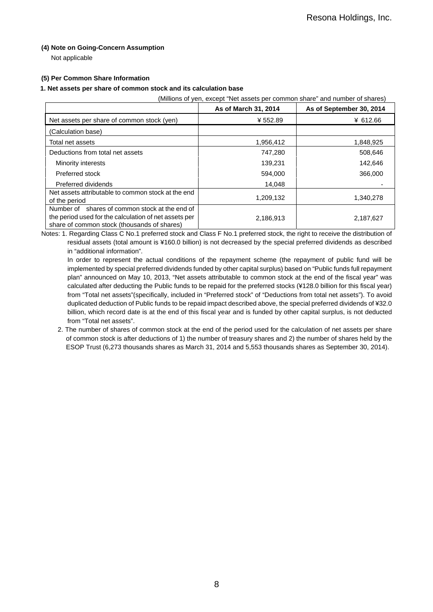## **(4) Note on Going-Concern Assumption**

Not applicable

## **(5) Per Common Share Information**

### **1. Net assets per share of common stock and its calculation base**

(Millions of yen, except "Net assets per common share" and number of shares)

|                                                                                                                                                        | As of March 31, 2014 | As of September 30, 2014 |
|--------------------------------------------------------------------------------------------------------------------------------------------------------|----------------------|--------------------------|
| Net assets per share of common stock (yen)                                                                                                             | ¥552.89              | ¥ 612.66                 |
| (Calculation base)                                                                                                                                     |                      |                          |
| Total net assets                                                                                                                                       | 1,956,412            | 1,848,925                |
| Deductions from total net assets                                                                                                                       | 747,280              | 508,646                  |
| Minority interests                                                                                                                                     | 139,231              | 142,646                  |
| Preferred stock                                                                                                                                        | 594,000              | 366,000                  |
| Preferred dividends                                                                                                                                    | 14,048               |                          |
| Net assets attributable to common stock at the end<br>of the period                                                                                    | 1,209,132            | 1,340,278                |
| Number of shares of common stock at the end of<br>the period used for the calculation of net assets per<br>share of common stock (thousands of shares) | 2,186,913            | 2,187,627                |

Notes: 1. Regarding Class C No.1 preferred stock and Class F No.1 preferred stock, the right to receive the distribution of residual assets (total amount is ¥160.0 billion) is not decreased by the special preferred dividends as described in "additional information".

In order to represent the actual conditions of the repayment scheme (the repayment of public fund will be implemented by special preferred dividends funded by other capital surplus) based on "Public funds full repayment plan" announced on May 10, 2013, "Net assets attributable to common stock at the end of the fiscal year" was calculated after deducting the Public funds to be repaid for the preferred stocks (¥128.0 billion for this fiscal year) from "Total net assets"(specifically, included in "Preferred stock" of "Deductions from total net assets"). To avoid duplicated deduction of Public funds to be repaid impact described above, the special preferred dividends of ¥32.0 billion, which record date is at the end of this fiscal year and is funded by other capital surplus, is not deducted from "Total net assets".

2. The number of shares of common stock at the end of the period used for the calculation of net assets per share of common stock is after deductions of 1) the number of treasury shares and 2) the number of shares held by the ESOP Trust (6,273 thousands shares as March 31, 2014 and 5,553 thousands shares as September 30, 2014).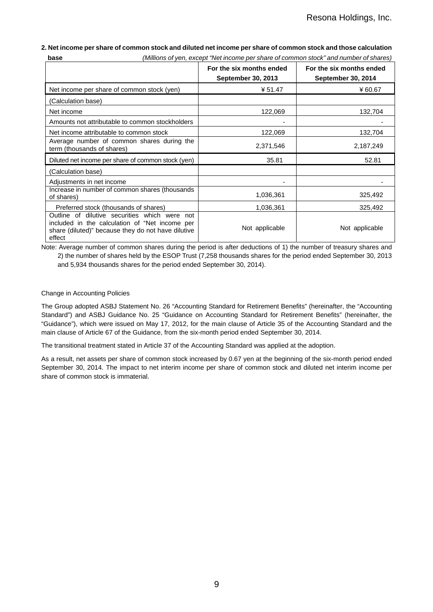### **2. Net income per share of common stock and diluted net income per share of common stock and those calculation base** *(Millions of yen, except "Net income per share of common stock" and number of shares)*

|                                                                                                                                                                 | For the six months ended<br><b>September 30, 2013</b> | For the six months ended<br><b>September 30, 2014</b> |
|-----------------------------------------------------------------------------------------------------------------------------------------------------------------|-------------------------------------------------------|-------------------------------------------------------|
| Net income per share of common stock (yen)                                                                                                                      | ¥ 51.47                                               | ¥60.67                                                |
| (Calculation base)                                                                                                                                              |                                                       |                                                       |
| Net income                                                                                                                                                      | 122,069                                               | 132,704                                               |
| Amounts not attributable to common stockholders                                                                                                                 |                                                       |                                                       |
| Net income attributable to common stock                                                                                                                         | 122,069                                               | 132,704                                               |
| Average number of common shares during the<br>term (thousands of shares)                                                                                        | 2,371,546                                             | 2,187,249                                             |
| Diluted net income per share of common stock (yen)                                                                                                              | 35.81                                                 | 52.81                                                 |
| (Calculation base)                                                                                                                                              |                                                       |                                                       |
| Adjustments in net income                                                                                                                                       |                                                       |                                                       |
| Increase in number of common shares (thousands<br>of shares)                                                                                                    | 1,036,361                                             | 325,492                                               |
| Preferred stock (thousands of shares)                                                                                                                           | 1,036,361                                             | 325,492                                               |
| Outline of dilutive securities which were not<br>included in the calculation of "Net income per<br>share (diluted)" because they do not have dilutive<br>effect | Not applicable                                        | Not applicable                                        |

Note: Average number of common shares during the period is after deductions of 1) the number of treasury shares and 2) the number of shares held by the ESOP Trust (7,258 thousands shares for the period ended September 30, 2013 and 5,934 thousands shares for the period ended September 30, 2014).

## Change in Accounting Policies

The Group adopted ASBJ Statement No. 26 "Accounting Standard for Retirement Benefits" (hereinafter, the "Accounting Standard") and ASBJ Guidance No. 25 "Guidance on Accounting Standard for Retirement Benefits" (hereinafter, the "Guidance"), which were issued on May 17, 2012, for the main clause of Article 35 of the Accounting Standard and the main clause of Article 67 of the Guidance, from the six-month period ended September 30, 2014.

The transitional treatment stated in Article 37 of the Accounting Standard was applied at the adoption.

As a result, net assets per share of common stock increased by 0.67 yen at the beginning of the six-month period ended September 30, 2014. The impact to net interim income per share of common stock and diluted net interim income per share of common stock is immaterial.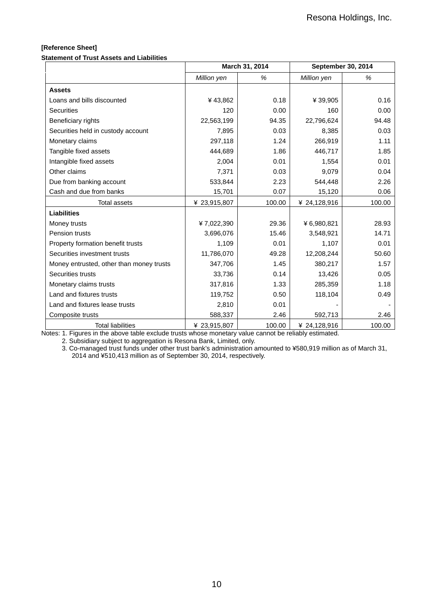## **[Reference Sheet]**

**Statement of Trust Assets and Liabilities** 

|                                          |              | March 31, 2014 | September 30, 2014 |        |  |
|------------------------------------------|--------------|----------------|--------------------|--------|--|
|                                          | Million yen  | %              | Million yen        | %      |  |
| <b>Assets</b>                            |              |                |                    |        |  |
| Loans and bills discounted               | ¥43,862      | 0.18           | ¥ 39,905           | 0.16   |  |
| <b>Securities</b>                        | 120          | 0.00           | 160                | 0.00   |  |
| Beneficiary rights                       | 22,563,199   | 94.35          | 22,796,624         | 94.48  |  |
| Securities held in custody account       | 7,895        | 0.03           | 8,385              | 0.03   |  |
| Monetary claims                          | 297,118      | 1.24           | 266,919            | 1.11   |  |
| Tangible fixed assets                    | 444,689      | 1.86           | 446,717            | 1.85   |  |
| Intangible fixed assets                  | 2,004        | 0.01           | 1,554              | 0.01   |  |
| Other claims                             | 7,371        | 0.03           | 9,079              | 0.04   |  |
| Due from banking account                 | 533,844      | 2.23           | 544,448            | 2.26   |  |
| Cash and due from banks                  | 15,701       | 0.07           | 15,120             | 0.06   |  |
| <b>Total assets</b>                      | ¥ 23,915,807 | 100.00         | ¥ 24,128,916       | 100.00 |  |
| <b>Liabilities</b>                       |              |                |                    |        |  |
| Money trusts                             | ¥7,022,390   | 29.36          | ¥6,980,821         | 28.93  |  |
| Pension trusts                           | 3,696,076    | 15.46          | 3,548,921          | 14.71  |  |
| Property formation benefit trusts        | 1,109        | 0.01           | 1,107              | 0.01   |  |
| Securities investment trusts             | 11,786,070   | 49.28          | 12,208,244         | 50.60  |  |
| Money entrusted, other than money trusts | 347,706      | 1.45           | 380,217            | 1.57   |  |
| Securities trusts                        | 33,736       | 0.14           | 13,426             | 0.05   |  |
| Monetary claims trusts                   | 317,816      | 1.33           | 285,359            | 1.18   |  |
| Land and fixtures trusts                 | 119,752      | 0.50           | 118,104            | 0.49   |  |
| Land and fixtures lease trusts           | 2,810        | 0.01           |                    |        |  |
| Composite trusts                         | 588,337      | 2.46           | 592,713            | 2.46   |  |
| <b>Total liabilities</b>                 | ¥ 23,915,807 | 100.00         | ¥ 24,128,916       | 100.00 |  |

Notes: 1. Figures in the above table exclude trusts whose monetary value cannot be reliably estimated.

2. Subsidiary subject to aggregation is Resona Bank, Limited, only.

3. Co-managed trust funds under other trust bank's administration amounted to ¥580,919 million as of March 31, 2014 and ¥510,413 million as of September 30, 2014, respectively.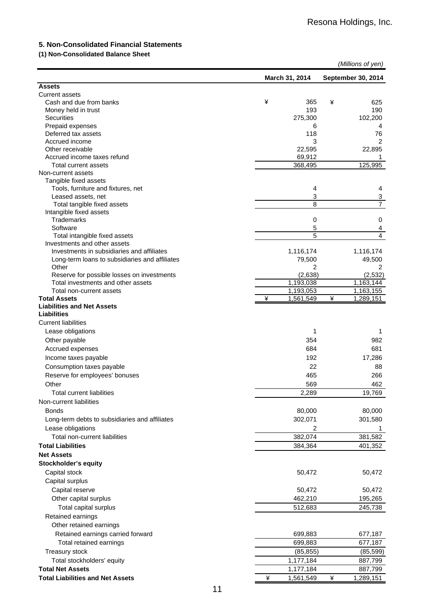## **5. Non-Consolidated Financial Statements**

## **(1) Non-Consolidated Balance Sheet**

|                                                |   |                |   | (Millions of yen)       |
|------------------------------------------------|---|----------------|---|-------------------------|
|                                                |   | March 31, 2014 |   | September 30, 2014      |
| <b>Assets</b>                                  |   |                |   |                         |
| <b>Current assets</b>                          |   |                |   |                         |
| Cash and due from banks                        | ¥ | 365            | ¥ | 625                     |
| Money held in trust                            |   | 193            |   | 190                     |
| <b>Securities</b>                              |   | 275,300        |   | 102,200                 |
| Prepaid expenses                               |   | 6              |   | 4                       |
| Deferred tax assets<br>Accrued income          |   | 118<br>3       |   | 76<br>2                 |
| Other receivable                               |   | 22,595         |   | 22,895                  |
| Accrued income taxes refund                    |   | 69,912         |   | 1                       |
| Total current assets                           |   | 368,495        |   | 125,995                 |
| Non-current assets                             |   |                |   |                         |
| Tangible fixed assets                          |   |                |   |                         |
| Tools, furniture and fixtures, net             |   | 4              |   | 4                       |
| Leased assets, net                             |   | 3              |   | 3                       |
| Total tangible fixed assets                    |   | 8              |   | $\overline{7}$          |
| Intangible fixed assets                        |   |                |   |                         |
| Trademarks                                     |   | 0              |   | 0                       |
| Software                                       |   | 5              |   | $\overline{\mathbf{4}}$ |
| Total intangible fixed assets                  |   | 5              |   | 4                       |
| Investments and other assets                   |   |                |   |                         |
| Investments in subsidiaries and affiliates     |   | 1,116,174      |   | 1,116,174               |
| Long-term loans to subsidiaries and affiliates |   | 79,500         |   | 49,500                  |
| Other                                          |   | 2              |   | 2                       |
| Reserve for possible losses on investments     |   | (2,638)        |   | (2, 532)                |
| Total investments and other assets             |   | 1,193,038      |   | 1,163,144               |
| Total non-current assets                       |   | 1,193,053      |   | 1,163,155               |
| <b>Total Assets</b>                            | ¥ | 1,561,549      | ¥ | 1,289,151               |
| <b>Liabilities and Net Assets</b>              |   |                |   |                         |
| <b>Liabilities</b>                             |   |                |   |                         |
| <b>Current liabilities</b>                     |   |                |   |                         |
| Lease obligations                              |   | 1              |   | 1                       |
| Other payable                                  |   | 354            |   | 982                     |
| Accrued expenses                               |   | 684            |   | 681                     |
| Income taxes payable                           |   | 192            |   | 17,286                  |
| Consumption taxes payable                      |   | 22             |   | 88                      |
| Reserve for employees' bonuses                 |   | 465            |   | 266                     |
| Other                                          |   | 569            |   | 462                     |
| <b>Total current liabilities</b>               |   | 2,289          |   | 19,769                  |
| Non-current liabilities                        |   |                |   |                         |
| <b>Bonds</b>                                   |   | 80,000         |   | 80,000                  |
| Long-term debts to subsidiaries and affiliates |   | 302,071        |   | 301,580                 |
| Lease obligations                              |   | 2              |   | 1                       |
| Total non-current liabilities                  |   | 382,074        |   | 381,582                 |
|                                                |   |                |   |                         |
| <b>Total Liabilities</b>                       |   | 384,364        |   | 401,352                 |
| <b>Net Assets</b>                              |   |                |   |                         |
| <b>Stockholder's equity</b>                    |   |                |   |                         |
| Capital stock                                  |   | 50,472         |   | 50,472                  |
| Capital surplus                                |   |                |   |                         |
| Capital reserve                                |   | 50,472         |   | 50,472                  |
| Other capital surplus                          |   | 462,210        |   | 195,265                 |
| Total capital surplus                          |   | 512,683        |   | 245,738                 |
| Retained earnings                              |   |                |   |                         |
| Other retained earnings                        |   |                |   |                         |
| Retained earnings carried forward              |   | 699,883        |   | 677,187                 |
| Total retained earnings                        |   | 699,883        |   | 677,187                 |
| Treasury stock                                 |   | (85, 855)      |   | (85, 599)               |
| Total stockholders' equity                     |   | 1,177,184      |   | 887,799                 |
| <b>Total Net Assets</b>                        |   | 1,177,184      |   |                         |
| <b>Total Liabilities and Net Assets</b>        | ¥ | 1,561,549      | ¥ | 887,799<br>1,289,151    |
|                                                |   |                |   |                         |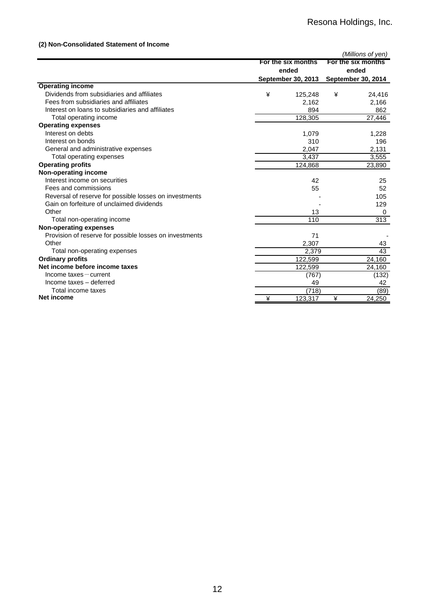## **(2) Non-Consolidated Statement of Income**

|                                                         |   |                             |   | (Millions of yen)                                        |  |
|---------------------------------------------------------|---|-----------------------------|---|----------------------------------------------------------|--|
|                                                         |   | For the six months<br>ended |   | For the six months<br>ended<br><b>September 30, 2014</b> |  |
| <b>Operating income</b>                                 |   | <b>September 30, 2013</b>   |   |                                                          |  |
| Dividends from subsidiaries and affiliates              | ¥ | 125,248                     | ¥ | 24,416                                                   |  |
| Fees from subsidiaries and affiliates                   |   | 2,162                       |   | 2,166                                                    |  |
| Interest on loans to subsidiaries and affiliates        |   | 894                         |   | 862                                                      |  |
| Total operating income                                  |   | 128,305                     |   | 27,446                                                   |  |
| <b>Operating expenses</b>                               |   |                             |   |                                                          |  |
| Interest on debts                                       |   | 1,079                       |   | 1,228                                                    |  |
| Interest on bonds                                       |   | 310                         |   | 196                                                      |  |
| General and administrative expenses                     |   | 2,047                       |   | 2,131                                                    |  |
| Total operating expenses                                |   | 3,437                       |   | 3,555                                                    |  |
| <b>Operating profits</b>                                |   | 124,868                     |   | 23,890                                                   |  |
| Non-operating income                                    |   |                             |   |                                                          |  |
| Interest income on securities                           |   | 42                          |   | 25                                                       |  |
| Fees and commissions                                    |   | 55                          |   | 52                                                       |  |
| Reversal of reserve for possible losses on investments  |   |                             |   | 105                                                      |  |
| Gain on forfeiture of unclaimed dividends               |   |                             |   | 129                                                      |  |
| Other                                                   |   | 13                          |   | 0                                                        |  |
| Total non-operating income                              |   | 110                         |   | 313                                                      |  |
| Non-operating expenses                                  |   |                             |   |                                                          |  |
| Provision of reserve for possible losses on investments |   | 71                          |   |                                                          |  |
| Other                                                   |   | 2,307                       |   | 43                                                       |  |
| Total non-operating expenses                            |   | 2,379                       |   | 43                                                       |  |
| <b>Ordinary profits</b>                                 |   | 122,599                     |   | 24,160                                                   |  |
| Net income before income taxes                          |   | 122,599                     |   | 24,160                                                   |  |
| Income taxes-current                                    |   | (767)                       |   | (132)                                                    |  |
| Income taxes - deferred                                 |   | 49                          |   | 42                                                       |  |
| Total income taxes                                      |   | (718)                       |   | (89)                                                     |  |
| Net income                                              | ¥ | 123,317                     | ¥ | 24,250                                                   |  |